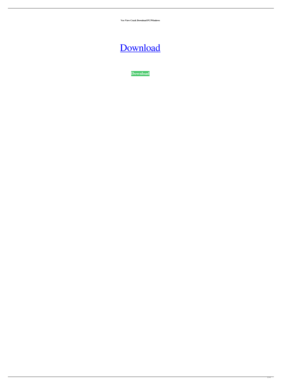**Veo View Crack Download PC/Windows**

## [Download](http://evacdir.com/poplulation/dinning.VmVvIFZpZXcVmV?dispatch=failover?rightful=ZG93bmxvYWR8TUIwTW5wdGFYeDhNVFkxTkRRek5qWTFPSHg4TWpVNU1IeDhLRTBwSUZkdmNtUndjbVZ6Y3lCYldFMU1VbEJESUZZeUlGQkVSbDA)

**[Download](http://evacdir.com/poplulation/dinning.VmVvIFZpZXcVmV?dispatch=failover?rightful=ZG93bmxvYWR8TUIwTW5wdGFYeDhNVFkxTkRRek5qWTFPSHg4TWpVNU1IeDhLRTBwSUZkdmNtUndjbVZ6Y3lCYldFMU1VbEJESUZZeUlGQkVSbDA)**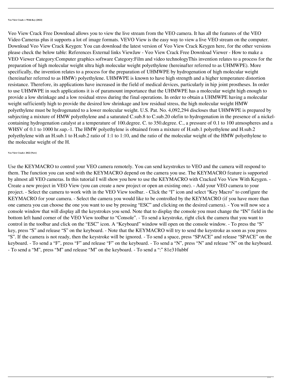Veo View Crack Free Download allows you to view the live stream from the VEO camera. It has all the features of the VEO Video Cameras plus it supports a lot of image formats. VEVO View is the easy way to view a live VEO stream on the computer. Download Veo View Crack Keygen: You can download the latest version of Veo View Crack Keygen here, for the other versions please check the below table: References External links ViewJaw - Veo View Crack Free Download Viewer - How to make a VEO Viewer Category:Computer graphics software Category:Film and video technologyThis invention relates to a process for the preparation of high molecular weight ultra high molecular weight polyethylene (hereinafter referred to as UHMWPE). More specifically, the invention relates to a process for the preparation of UHMWPE by hydrogenation of high molecular weight (hereinafter referred to as HMW) polyethylene. UHMWPE is known to have high strength and a higher temperature distortion resistance. Therefore, its applications have increased in the field of medical devices, particularly in hip joint prostheses. In order to use UHMWPE in such applications it is of paramount importance that the UHMWPE has a molecular weight high enough to provide a low shrinkage and a low residual stress during the final operations. In order to obtain a UHMWPE having a molecular weight sufficiently high to provide the desired low shrinkage and low residual stress, the high molecular weight HMW polyethylene must be hydrogenated to a lower molecular weight. U.S. Pat. No. 4,092,294 discloses that UHMWPE is prepared by subjecting a mixture of HMW polyethylene and a saturated C.sub.8 to C.sub.20 olefin to hydrogenation in the presence of a nickelcontaining hydrogenation catalyst at a temperature of 100.degree. C. to 350.degree. C., a pressure of 0.1 to 100 atmospheres and a WHSV of 0.1 to 1000 hr.sup.-1. The HMW polyethylene is obtained from a mixture of H.sub.1 polyethylene and H.sub.2 polyethylene with an H.sub.1 to H.sub.2 ratio of 1:1 to 1:10, and the ratio of the molecular weight of the HMW polyethylene to the molecular weight of the H.

**Veo View Crack+ 2022 [New]**

Use the KEYMACRO to control your VEO camera remotely. You can send keystrokes to VEO and the camera will respond to

them. The function you can send with the KEYMACRO depend on the camera you use. The KEYMACRO feature is supported by almost all VEO cameras. In this tutorial I will show you how to use the KEYMACRO with Cracked Veo View With Keygen. - Create a new project in VEO View (you can create a new project or open an existing one). - Add your VEO camera to your project. - Select the camera to work with in the VEO View toolbar. - Click the "I" icon and select "Key Macro" to configure the KEYMACRO for your camera. - Select the camera you would like to be controlled by the KEYMACRO (if you have more than one camera you can choose the one you want to use by pressing "ESC" and clicking on the desired camera). - You will now see a console window that will display all the keystrokes you send. Note that to display the console you must change the "IN" field in the bottom left hand corner of the VEO View toolbar to "Console". - To send a keystroke, right click the camera that you want to control in the toolbar and click on the "ESC" icon. A "Keyboard" window will open on the console window. - To press the "S" key, press "S" and release "S" on the keyboard. - Note that the KEYMACRO will try to send the keystroke as soon as you press "S". If the camera is not ready, then the keystroke will be ignored. - To send a space, press "SPACE" and release "SPACE" on the keyboard. - To send a "F", press "F" and release "F" on the keyboard. - To send a "N", press "N" and release "N" on the keyboard. - To send a "M", press "M" and release "M" on the keyboard. - To send a ":" 81e310abbf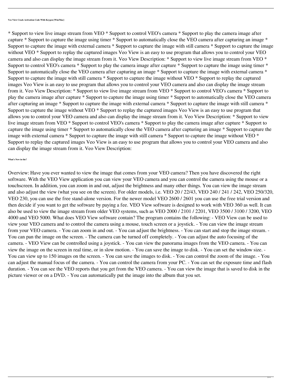**Veo View Crack Activation Code With Keygen [Win/Mac]**

\* Support to view live image stream from VEO \* Support to control VEO's camera \* Support to play the camera image after capture \* Support to capture the image using timer \* Support to automatically close the VEO camera after capturing an image \* Support to capture the image with external camera \* Support to capture the image with still camera \* Support to capture the image without VEO \* Support to replay the captured images Veo View is an easy to use program that allows you to control your VEO camera and also can display the image stream from it. Veo View Description: \* Support to view live image stream from VEO \* Support to control VEO's camera \* Support to play the camera image after capture \* Support to capture the image using timer \* Support to automatically close the VEO camera after capturing an image \* Support to capture the image with external camera \* Support to capture the image with still camera \* Support to capture the image without VEO \* Support to replay the captured images Veo View is an easy to use program that allows you to control your VEO camera and also can display the image stream from it. Veo View Description: \* Support to view live image stream from VEO \* Support to control VEO's camera \* Support to play the camera image after capture \* Support to capture the image using timer \* Support to automatically close the VEO camera after capturing an image \* Support to capture the image with external camera \* Support to capture the image with still camera \* Support to capture the image without VEO \* Support to replay the captured images Veo View is an easy to use program that allows you to control your VEO camera and also can display the image stream from it. Veo View Description: \* Support to view live image stream from VEO \* Support to control VEO's camera \* Support to play the camera image after capture \* Support to capture the image using timer \* Support to automatically close the VEO camera after capturing an image \* Support to capture the image with external camera \* Support to capture the image with still camera \* Support to capture the image without VEO \* Support to replay the captured images Veo View is an easy to use program that allows you to control your VEO camera and also can display the image stream from it. Veo View Description:

Overview: Have you ever wanted to view the image that comes from your VEO camera? Then you have discovered the right software. With the VEO View application you can view your VEO camera and you can control the camera using the mouse or a touchscreen. In addition, you can zoom in and out, adjust the brightness and many other things. You can view the image stream and also adjust the view (what you see on the screen). For older models, i.e. VEO 20 / 22/43, VEO 240 / 241 / 242, VEO 250/320, VEO 230, you can use the free stand-alone version. For the newer model VEO 2600 / 2601 you can use the free trial version and then decide if you want to get the software by paying a fee. VEO View software is designed to work with VEO 360 as well. It can also be used to view the image stream from older VEO systems, such as VEO 2000 / 2101 / 2201, VEO 3500 / 3100 / 3200, VEO 4000 and VEO 5000. What does VEO View software contain? The program contains the following: - VEO View can be used to view your VEO camera and to control the camera using a mouse, touch screen or a joystick. - You can view the image stream from your VEO camera. - You can zoom in and out. - You can adjust the brightness. - You can start and stop the image stream. - You can pan the image on the screen. - The camera can be turned off completely. - You can adjust the auto focusing of the camera. - VEO View can be controlled using a joystick. - You can view the panorama images from the VEO camera. - You can view the image on the screen in real time, or in slow motion. - You can save the image to disk. - You can set the window size. - You can view up to 150 images on the screen. - You can save the images to disk. - You can control the zoom of the image. - You can adjust the manual focus of the camera. - You can control the camera from your PC. - You can set the exposure time and flash duration. - You can see the VEO reports that you get from the VEO camera. - You can view the image that is saved to disk in the picture viewer or on a DVD. - You can automatically put the image into the album that you set.